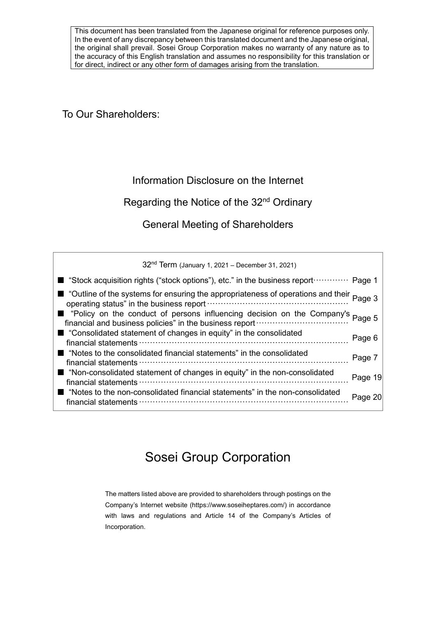This document has been translated from the Japanese original for reference purposes only. In the event of any discrepancy between this translated document and the Japanese original, the original shall prevail. Sosei Group Corporation makes no warranty of any nature as to the accuracy of this English translation and assumes no responsibility for this translation or for direct, indirect or any other form of damages arising from the translation.

To Our Shareholders:

## Information Disclosure on the Internet

## Regarding the Notice of the 32<sup>nd</sup> Ordinary

General Meeting of Shareholders

32nd Term (January 1, 2021 – December 31, 2021) ■ "Stock acquisition rights ("stock options"), etc." in the business report ················ Page 1 ■ "Outline of the systems for ensuring the appropriateness of operations and their <sub>Page 3</sub> operating status" in the business report···················································· Page 3 ■ "Policy on the conduct of persons influencing decision on the Company's <sub>Page 5</sub> financial and business policies" in the business report **matures** of the structure of the structure of the structure of the structure of t ■ "Consolidated statement of changes in equity" in the consolidated financial statements ············································································· Page 6 ■ "Notes to the consolidated financial statements" in the consolidated financial statements ············································································· Page 7 ■ "Non-consolidated statement of changes in equity" in the non-consolidated Fiori-consolidated statement of changes in equity fin the non-consolidated Page 19 ■ "Notes to the non-consolidated financial statements" in the non-consolidated financial statements ············································································· Page 20

# Sosei Group Corporation

The matters listed above are provided to shareholders through postings on the Company's Internet website (https://www.soseiheptares.com/) in accordance with laws and regulations and Article 14 of the Company's Articles of Incorporation.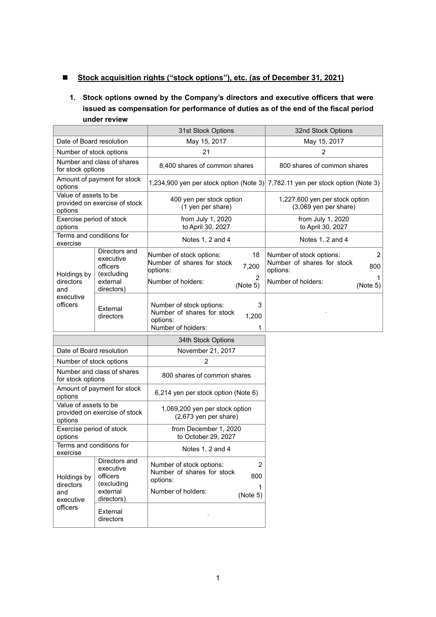## ■ Stock acquisition rights ("stock options"), etc. (as of December 31, 2021)

## **1. Stock options owned by the Company's directors and executive officers that were issued as compensation for performance of duties as of the end of the fiscal period under review**

|                                                                   |                                                                                | 31st Stock Options                                                                                                                 | 32nd Stock Options                                                                                   |  |
|-------------------------------------------------------------------|--------------------------------------------------------------------------------|------------------------------------------------------------------------------------------------------------------------------------|------------------------------------------------------------------------------------------------------|--|
| Date of Board resolution                                          |                                                                                | May 15, 2017                                                                                                                       | May 15, 2017                                                                                         |  |
| Number of stock options                                           |                                                                                | 21                                                                                                                                 | $\overline{2}$                                                                                       |  |
| Number and class of shares<br>for stock options                   |                                                                                | 8,400 shares of common shares                                                                                                      | 800 shares of common shares                                                                          |  |
| options                                                           | Amount of payment for stock                                                    |                                                                                                                                    | 1,234,900 yen per stock option (Note 3) 7,782.11 yen per stock option (Note 3)                       |  |
| Value of assets to be<br>options                                  | provided on exercise of stock                                                  | 400 yen per stock option<br>(1 yen per share)                                                                                      | 1,227,600 yen per stock option<br>(3,069 yen per share)                                              |  |
| Exercise period of stock<br>options                               |                                                                                | from July 1, 2020<br>to April 30, 2027                                                                                             | from July 1, 2020<br>to April 30, 2027                                                               |  |
| Terms and conditions for<br>exercise                              |                                                                                | Notes 1, 2 and 4                                                                                                                   | Notes 1, 2 and 4                                                                                     |  |
| Holdings by<br>directors                                          | Directors and<br>executive<br>officers<br>(excluding<br>external               | Number of stock options:<br>18<br>Number of shares for stock<br>7,200<br>options:<br>2<br>Number of holders:                       | Number of stock options:<br>2<br>Number of shares for stock<br>800<br>options:<br>Number of holders: |  |
| and<br>executive<br>officers                                      | directors)<br>External<br>directors                                            | (Note 5)<br>3<br>Number of stock options:<br>Number of shares for stock<br>1,200<br>options:<br>Number of holders:<br>1            | (Note 5)                                                                                             |  |
|                                                                   |                                                                                | 34th Stock Options                                                                                                                 |                                                                                                      |  |
| Date of Board resolution                                          |                                                                                | November 21, 2017                                                                                                                  |                                                                                                      |  |
| Number of stock options                                           |                                                                                | $\overline{2}$                                                                                                                     |                                                                                                      |  |
| for stock options                                                 | Number and class of shares                                                     | 800 shares of common shares                                                                                                        |                                                                                                      |  |
| options                                                           | Amount of payment for stock                                                    | 6,214 yen per stock option (Note 6)                                                                                                |                                                                                                      |  |
| Value of assets to be<br>provided on exercise of stock<br>options |                                                                                | 1,069,200 yen per stock option<br>$(2,673$ yen per share)                                                                          |                                                                                                      |  |
| Exercise period of stock<br>options                               |                                                                                | from December 1, 2020<br>to October 29, 2027                                                                                       |                                                                                                      |  |
| Terms and conditions for<br>exercise                              |                                                                                | Notes 1, 2 and 4                                                                                                                   |                                                                                                      |  |
| Holdings by<br>directors<br>and<br>executive<br>officers          | Directors and<br>executive<br>officers<br>(excluding<br>external<br>directors) | $\overline{2}$<br>Number of stock options:<br>Number of shares for stock<br>800<br>options:<br>1<br>Number of holders:<br>(Note 5) |                                                                                                      |  |
|                                                                   | External<br>directors                                                          |                                                                                                                                    |                                                                                                      |  |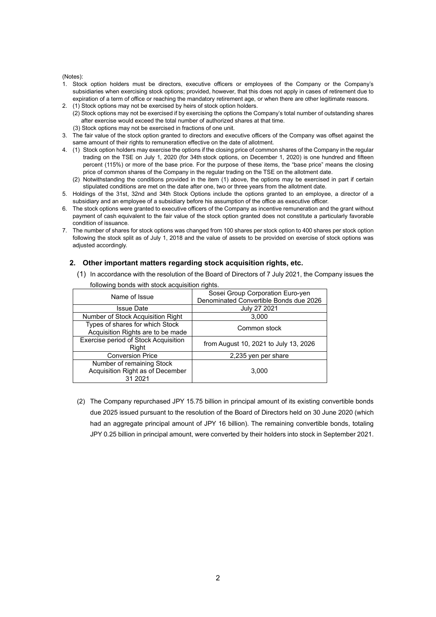## (Notes):

- 1. Stock option holders must be directors, executive officers or employees of the Company or the Company's subsidiaries when exercising stock options; provided, however, that this does not apply in cases of retirement due to expiration of a term of office or reaching the mandatory retirement age, or when there are other legitimate reasons.
- 2. (1) Stock options may not be exercised by heirs of stock option holders.
	- (2) Stock options may not be exercised if by exercising the options the Company's total number of outstanding shares after exercise would exceed the total number of authorized shares at that time.
		- (3) Stock options may not be exercised in fractions of one unit.
- 3. The fair value of the stock option granted to directors and executive officers of the Company was offset against the same amount of their rights to remuneration effective on the date of allotment.
- 4. (1) Stock option holders may exercise the options if the closing price of common shares of the Company in the regular trading on the TSE on July 1, 2020 (for 34th stock options, on December 1, 2020) is one hundred and fifteen percent (115%) or more of the base price. For the purpose of these items, the "base price" means the closing price of common shares of the Company in the regular trading on the TSE on the allotment date.
	- (2) Notwithstanding the conditions provided in the item (1) above, the options may be exercised in part if certain stipulated conditions are met on the date after one, two or three years from the allotment date.
- 5. Holdings of the 31st, 32nd and 34th Stock Options include the options granted to an employee, a director of a subsidiary and an employee of a subsidiary before his assumption of the office as executive officer.
- 6. The stock options were granted to executive officers of the Company as incentive remuneration and the grant without payment of cash equivalent to the fair value of the stock option granted does not constitute a particularly favorable condition of issuance.
- 7. The number of shares for stock options was changed from 100 shares per stock option to 400 shares per stock option following the stock split as of July 1, 2018 and the value of assets to be provided on exercise of stock options was adjusted accordingly.

## **2. Other important matters regarding stock acquisition rights, etc.**

(1) In accordance with the resolution of the Board of Directors of 7 July 2021, the Company issues the

| Name of Issue                                                            | Sosei Group Corporation Euro-yen<br>Denominated Convertible Bonds due 2026 |
|--------------------------------------------------------------------------|----------------------------------------------------------------------------|
| <b>Issue Date</b>                                                        | July 27 2021                                                               |
| Number of Stock Acquisition Right                                        | 3,000                                                                      |
| Types of shares for which Stock<br>Acquisition Rights are to be made     | Common stock                                                               |
| Exercise period of Stock Acquisition<br>Right                            | from August 10, 2021 to July 13, 2026                                      |
| <b>Conversion Price</b>                                                  | 2,235 yen per share                                                        |
| Number of remaining Stock<br>Acquisition Right as of December<br>31 2021 | 3.000                                                                      |

following bonds with stock acquisition rights.

(2) The Company repurchased JPY 15.75 billion in principal amount of its existing convertible bonds due 2025 issued pursuant to the resolution of the Board of Directors held on 30 June 2020 (which had an aggregate principal amount of JPY 16 billion). The remaining convertible bonds, totaling JPY 0.25 billion in principal amount, were converted by their holders into stock in September 2021.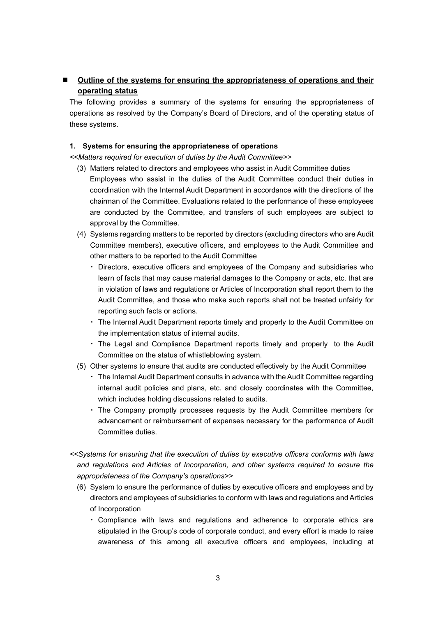## **Outline of the systems for ensuring the appropriateness of operations and their operating status**

The following provides a summary of the systems for ensuring the appropriateness of operations as resolved by the Company's Board of Directors, and of the operating status of these systems.

## **1. Systems for ensuring the appropriateness of operations**

*<<Matters required for execution of duties by the Audit Committee>>*

- (3) Matters related to directors and employees who assist in Audit Committee duties Employees who assist in the duties of the Audit Committee conduct their duties in coordination with the Internal Audit Department in accordance with the directions of the chairman of the Committee. Evaluations related to the performance of these employees are conducted by the Committee, and transfers of such employees are subject to approval by the Committee.
- (4) Systems regarding matters to be reported by directors (excluding directors who are Audit Committee members), executive officers, and employees to the Audit Committee and other matters to be reported to the Audit Committee
	- ・ Directors, executive officers and employees of the Company and subsidiaries who learn of facts that may cause material damages to the Company or acts, etc. that are in violation of laws and regulations or Articles of Incorporation shall report them to the Audit Committee, and those who make such reports shall not be treated unfairly for reporting such facts or actions.
	- ・ The Internal Audit Department reports timely and properly to the Audit Committee on the implementation status of internal audits.
	- ・ The Legal and Compliance Department reports timely and properly to the Audit Committee on the status of whistleblowing system.
- (5) Other systems to ensure that audits are conducted effectively by the Audit Committee
	- ・ The Internal Audit Department consults in advance with the Audit Committee regarding internal audit policies and plans, etc. and closely coordinates with the Committee, which includes holding discussions related to audits.
	- ・ The Company promptly processes requests by the Audit Committee members for advancement or reimbursement of expenses necessary for the performance of Audit Committee duties.
- *<<Systems for ensuring that the execution of duties by executive officers conforms with laws and regulations and Articles of Incorporation, and other systems required to ensure the appropriateness of the Company's operations>>*
	- (6) System to ensure the performance of duties by executive officers and employees and by directors and employees of subsidiaries to conform with laws and regulations and Articles of Incorporation
		- ・ Compliance with laws and regulations and adherence to corporate ethics are stipulated in the Group's code of corporate conduct, and every effort is made to raise awareness of this among all executive officers and employees, including at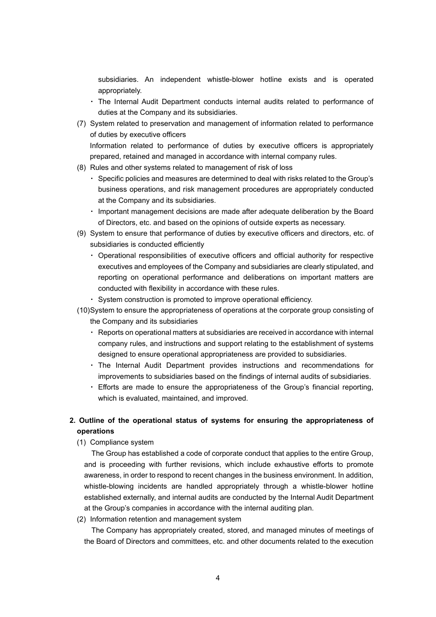subsidiaries. An independent whistle-blower hotline exists and is operated appropriately.

- ・ The Internal Audit Department conducts internal audits related to performance of duties at the Company and its subsidiaries.
- (7) System related to preservation and management of information related to performance of duties by executive officers

Information related to performance of duties by executive officers is appropriately prepared, retained and managed in accordance with internal company rules.

- (8) Rules and other systems related to management of risk of loss
	- ・ Specific policies and measures are determined to deal with risks related to the Group's business operations, and risk management procedures are appropriately conducted at the Company and its subsidiaries.
	- ・ Important management decisions are made after adequate deliberation by the Board of Directors, etc. and based on the opinions of outside experts as necessary.
- (9) System to ensure that performance of duties by executive officers and directors, etc. of subsidiaries is conducted efficiently
	- ・ Operational responsibilities of executive officers and official authority for respective executives and employees of the Company and subsidiaries are clearly stipulated, and reporting on operational performance and deliberations on important matters are conducted with flexibility in accordance with these rules.
	- ・ System construction is promoted to improve operational efficiency.
- (10)System to ensure the appropriateness of operations at the corporate group consisting of the Company and its subsidiaries
	- ・ Reports on operational matters at subsidiaries are received in accordance with internal company rules, and instructions and support relating to the establishment of systems designed to ensure operational appropriateness are provided to subsidiaries.
	- ・ The Internal Audit Department provides instructions and recommendations for improvements to subsidiaries based on the findings of internal audits of subsidiaries.
	- ・ Efforts are made to ensure the appropriateness of the Group's financial reporting, which is evaluated, maintained, and improved.

## **2. Outline of the operational status of systems for ensuring the appropriateness of operations**

(1) Compliance system

The Group has established a code of corporate conduct that applies to the entire Group, and is proceeding with further revisions, which include exhaustive efforts to promote awareness, in order to respond to recent changes in the business environment. In addition, whistle-blowing incidents are handled appropriately through a whistle-blower hotline established externally, and internal audits are conducted by the Internal Audit Department at the Group's companies in accordance with the internal auditing plan.

(2) Information retention and management system

The Company has appropriately created, stored, and managed minutes of meetings of the Board of Directors and committees, etc. and other documents related to the execution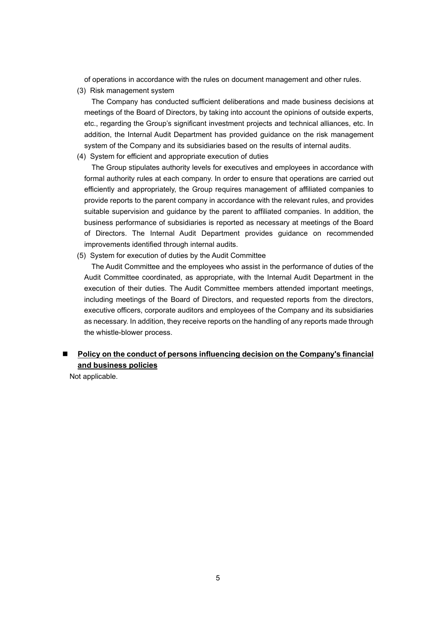of operations in accordance with the rules on document management and other rules.

(3) Risk management system

The Company has conducted sufficient deliberations and made business decisions at meetings of the Board of Directors, by taking into account the opinions of outside experts, etc., regarding the Group's significant investment projects and technical alliances, etc. In addition, the Internal Audit Department has provided guidance on the risk management system of the Company and its subsidiaries based on the results of internal audits.

(4) System for efficient and appropriate execution of duties

The Group stipulates authority levels for executives and employees in accordance with formal authority rules at each company. In order to ensure that operations are carried out efficiently and appropriately, the Group requires management of affiliated companies to provide reports to the parent company in accordance with the relevant rules, and provides suitable supervision and guidance by the parent to affiliated companies. In addition, the business performance of subsidiaries is reported as necessary at meetings of the Board of Directors. The Internal Audit Department provides guidance on recommended improvements identified through internal audits.

(5) System for execution of duties by the Audit Committee

The Audit Committee and the employees who assist in the performance of duties of the Audit Committee coordinated, as appropriate, with the Internal Audit Department in the execution of their duties. The Audit Committee members attended important meetings, including meetings of the Board of Directors, and requested reports from the directors, executive officers, corporate auditors and employees of the Company and its subsidiaries as necessary. In addition, they receive reports on the handling of any reports made through the whistle-blower process.

## ■ Policy on the conduct of persons influencing decision on the Company's financial **and business policies**

Not applicable.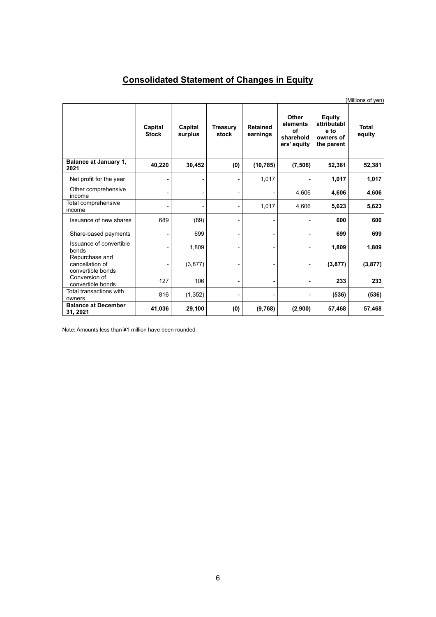# **Consolidated Statement of Changes in Equity**

|                                                        |                         |                    |                          |                             |                                                     |                                                                 | (Millions of yen)      |
|--------------------------------------------------------|-------------------------|--------------------|--------------------------|-----------------------------|-----------------------------------------------------|-----------------------------------------------------------------|------------------------|
|                                                        | Capital<br><b>Stock</b> | Capital<br>surplus | <b>Treasury</b><br>stock | <b>Retained</b><br>earnings | Other<br>elements<br>of<br>sharehold<br>ers' equity | <b>Equity</b><br>attributabl<br>e to<br>owners of<br>the parent | <b>Total</b><br>equity |
| Balance at January 1,<br>2021                          | 40,220                  | 30,452             | (0)                      | (10, 785)                   | (7, 506)                                            | 52,381                                                          | 52,381                 |
| Net profit for the year                                |                         |                    |                          | 1,017                       |                                                     | 1,017                                                           | 1,017                  |
| Other comprehensive<br>income                          |                         |                    |                          |                             | 4,606                                               | 4,606                                                           | 4,606                  |
| Total comprehensive<br>income                          |                         |                    |                          | 1,017                       | 4,606                                               | 5,623                                                           | 5,623                  |
| Issuance of new shares                                 | 689                     | (89)               |                          |                             |                                                     | 600                                                             | 600                    |
| Share-based payments                                   |                         | 699                |                          |                             |                                                     | 699                                                             | 699                    |
| Issuance of convertible<br>bonds                       |                         | 1,809              |                          |                             |                                                     | 1,809                                                           | 1,809                  |
| Repurchase and<br>cancellation of<br>convertible bonds |                         | (3, 877)           |                          |                             | $\overline{a}$                                      | (3, 877)                                                        | (3, 877)               |
| Conversion of<br>convertible bonds                     | 127                     | 106                |                          |                             |                                                     | 233                                                             | 233                    |
| Total transactions with<br>owners                      | 816                     | (1, 352)           |                          |                             |                                                     | (536)                                                           | (536)                  |
| <b>Balance at December</b><br>31, 2021                 | 41,036                  | 29,100             | (0)                      | (9,768)                     | (2,900)                                             | 57,468                                                          | 57,468                 |

Note: Amounts less than ¥1 million have been rounded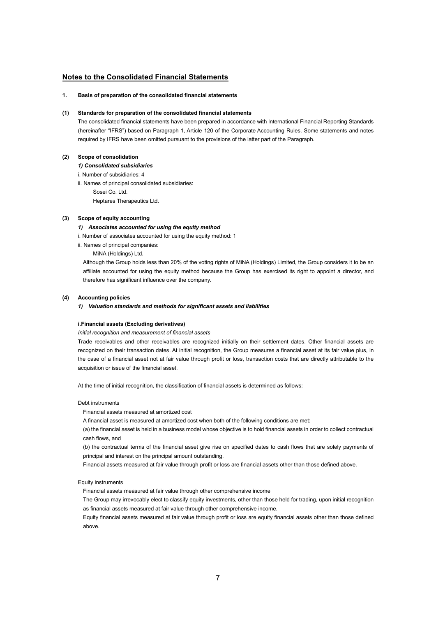## **Notes to the Consolidated Financial Statements**

## **1. Basis of preparation of the consolidated financial statements**

## **(1) Standards for preparation of the consolidated financial statements**

The consolidated financial statements have been prepared in accordance with International Financial Reporting Standards (hereinafter "IFRS") based on Paragraph 1, Article 120 of the Corporate Accounting Rules. Some statements and notes required by IFRS have been omitted pursuant to the provisions of the latter part of the Paragraph.

## **(2) Scope of consolidation**

*1) Consolidated subsidiaries*

- i. Number of subsidiaries: 4
- ii. Names of principal consolidated subsidiaries:
	- Sosei Co. Ltd.

Heptares Therapeutics Ltd.

## **(3) Scope of equity accounting**

- *1) Associates accounted for using the equity method*
- i. Number of associates accounted for using the equity method: 1
- ii. Names of principal companies:
	- MiNA (Holdings) Ltd.

Although the Group holds less than 20% of the voting rights of MiNA (Holdings) Limited, the Group considers it to be an affiliate accounted for using the equity method because the Group has exercised its right to appoint a director, and therefore has significant influence over the company.

#### **(4) Accounting policies**

## *1) Valuation standards and methods for significant assets and liabilities*

### **i.Financial assets (Excluding derivatives)**

*Initial recognition and measurement of financial assets*

Trade receivables and other receivables are recognized initially on their settlement dates. Other financial assets are recognized on their transaction dates. At initial recognition, the Group measures a financial asset at its fair value plus, in the case of a financial asset not at fair value through profit or loss, transaction costs that are directly attributable to the acquisition or issue of the financial asset.

At the time of initial recognition, the classification of financial assets is determined as follows:

## Debt instruments

Financial assets measured at amortized cost

A financial asset is measured at amortized cost when both of the following conditions are met:

(a) the financial asset is held in a business model whose objective is to hold financial assets in order to collect contractual cash flows, and

(b) the contractual terms of the financial asset give rise on specified dates to cash flows that are solely payments of principal and interest on the principal amount outstanding.

Financial assets measured at fair value through profit or loss are financial assets other than those defined above.

## Equity instruments

Financial assets measured at fair value through other comprehensive income

The Group may irrevocably elect to classify equity investments, other than those held for trading, upon initial recognition as financial assets measured at fair value through other comprehensive income.

Equity financial assets measured at fair value through profit or loss are equity financial assets other than those defined above.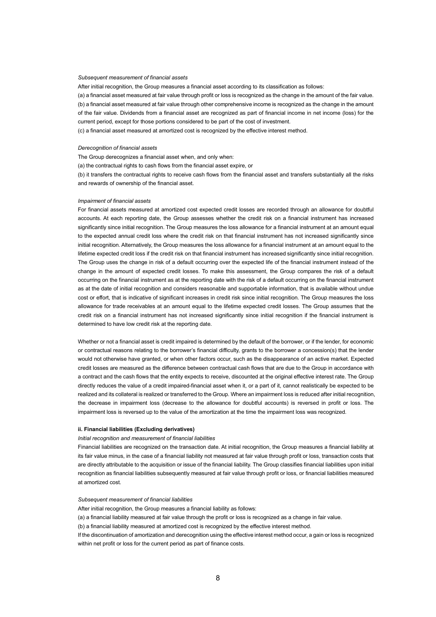## *Subsequent measurement of financial assets*

After initial recognition, the Group measures a financial asset according to its classification as follows:

(a) a financial asset measured at fair value through profit or loss is recognized as the change in the amount of the fair value. (b) a financial asset measured at fair value through other comprehensive income is recognized as the change in the amount of the fair value. Dividends from a financial asset are recognized as part of financial income in net income (loss) for the current period, except for those portions considered to be part of the cost of investment.

(c) a financial asset measured at amortized cost is recognized by the effective interest method.

## *Derecognition of financial assets*

The Group derecognizes a financial asset when, and only when:

(a) the contractual rights to cash flows from the financial asset expire, or

(b) it transfers the contractual rights to receive cash flows from the financial asset and transfers substantially all the risks and rewards of ownership of the financial asset.

#### *Impairment of financial assets*

For financial assets measured at amortized cost expected credit losses are recorded through an allowance for doubtful accounts. At each reporting date, the Group assesses whether the credit risk on a financial instrument has increased significantly since initial recognition. The Group measures the loss allowance for a financial instrument at an amount equal to the expected annual credit loss where the credit risk on that financial instrument has not increased significantly since initial recognition. Alternatively, the Group measures the loss allowance for a financial instrument at an amount equal to the lifetime expected credit loss if the credit risk on that financial instrument has increased significantly since initial recognition. The Group uses the change in risk of a default occurring over the expected life of the financial instrument instead of the change in the amount of expected credit losses. To make this assessment, the Group compares the risk of a default occurring on the financial instrument as at the reporting date with the risk of a default occurring on the financial instrument as at the date of initial recognition and considers reasonable and supportable information, that is available without undue cost or effort, that is indicative of significant increases in credit risk since initial recognition. The Group measures the loss allowance for trade receivables at an amount equal to the lifetime expected credit losses. The Group assumes that the credit risk on a financial instrument has not increased significantly since initial recognition if the financial instrument is determined to have low credit risk at the reporting date.

Whether or not a financial asset is credit impaired is determined by the default of the borrower, or if the lender, for economic or contractual reasons relating to the borrower's financial difficulty, grants to the borrower a concession(s) that the lender would not otherwise have granted, or when other factors occur, such as the disappearance of an active market. Expected credit losses are measured as the difference between contractual cash flows that are due to the Group in accordance with a contract and the cash flows that the entity expects to receive, discounted at the original effective interest rate. The Group directly reduces the value of a credit impaired-financial asset when it, or a part of it, cannot realistically be expected to be realized and its collateral is realized or transferred to the Group. Where an impairment loss is reduced after initial recognition, the decrease in impairment loss (decrease to the allowance for doubtful accounts) is reversed in profit or loss. The impairment loss is reversed up to the value of the amortization at the time the impairment loss was recognized.

### **ii. Financial liabilities (Excluding derivatives)**

## *Initial recognition and measurement of financial liabilities*

Financial liabilities are recognized on the transaction date. At initial recognition, the Group measures a financial liability at its fair value minus, in the case of a financial liability not measured at fair value through profit or loss, transaction costs that are directly attributable to the acquisition or issue of the financial liability. The Group classifies financial liabilities upon initial recognition as financial liabilities subsequently measured at fair value through profit or loss, or financial liabilities measured at amortized cost.

## *Subsequent measurement of financial liabilities*

After initial recognition, the Group measures a financial liability as follows:

(a) a financial liability measured at fair value through the profit or loss is recognized as a change in fair value.

(b) a financial liability measured at amortized cost is recognized by the effective interest method.

If the discontinuation of amortization and derecognition using the effective interest method occur, a gain or loss is recognized within net profit or loss for the current period as part of finance costs.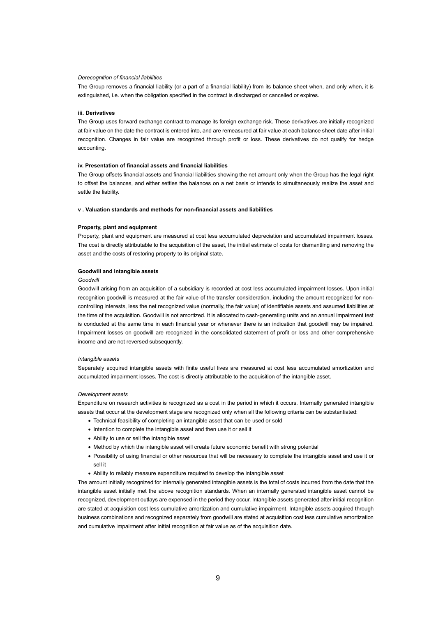## *Derecognition of financial liabilities*

The Group removes a financial liability (or a part of a financial liability) from its balance sheet when, and only when, it is extinguished, i.e. when the obligation specified in the contract is discharged or cancelled or expires.

#### **iii. Derivatives**

The Group uses forward exchange contract to manage its foreign exchange risk. These derivatives are initially recognized at fair value on the date the contract is entered into, and are remeasured at fair value at each balance sheet date after initial recognition. Changes in fair value are recognized through profit or loss. These derivatives do not qualify for hedge accounting.

## **iv. Presentation of financial assets and financial liabilities**

The Group offsets financial assets and financial liabilities showing the net amount only when the Group has the legal right to offset the balances, and either settles the balances on a net basis or intends to simultaneously realize the asset and settle the liability.

#### **v . Valuation standards and methods for non-financial assets and liabilities**

#### **Property, plant and equipment**

Property, plant and equipment are measured at cost less accumulated depreciation and accumulated impairment losses. The cost is directly attributable to the acquisition of the asset, the initial estimate of costs for dismantling and removing the asset and the costs of restoring property to its original state.

## **Goodwill and intangible assets**

## *Goodwill*

Goodwill arising from an acquisition of a subsidiary is recorded at cost less accumulated impairment losses. Upon initial recognition goodwill is measured at the fair value of the transfer consideration, including the amount recognized for noncontrolling interests, less the net recognized value (normally, the fair value) of identifiable assets and assumed liabilities at the time of the acquisition. Goodwill is not amortized. It is allocated to cash-generating units and an annual impairment test is conducted at the same time in each financial year or whenever there is an indication that goodwill may be impaired. Impairment losses on goodwill are recognized in the consolidated statement of profit or loss and other comprehensive income and are not reversed subsequently.

#### *Intangible assets*

Separately acquired intangible assets with finite useful lives are measured at cost less accumulated amortization and accumulated impairment losses. The cost is directly attributable to the acquisition of the intangible asset.

#### *Development assets*

Expenditure on research activities is recognized as a cost in the period in which it occurs. Internally generated intangible assets that occur at the development stage are recognized only when all the following criteria can be substantiated:

- Technical feasibility of completing an intangible asset that can be used or sold
- Intention to complete the intangible asset and then use it or sell it
- Ability to use or sell the intangible asset
- Method by which the intangible asset will create future economic benefit with strong potential
- Possibility of using financial or other resources that will be necessary to complete the intangible asset and use it or sell it
- Ability to reliably measure expenditure required to develop the intangible asset

The amount initially recognized for internally generated intangible assets is the total of costs incurred from the date that the intangible asset initially met the above recognition standards. When an internally generated intangible asset cannot be recognized, development outlays are expensed in the period they occur. Intangible assets generated after initial recognition are stated at acquisition cost less cumulative amortization and cumulative impairment. Intangible assets acquired through business combinations and recognized separately from goodwill are stated at acquisition cost less cumulative amortization and cumulative impairment after initial recognition at fair value as of the acquisition date.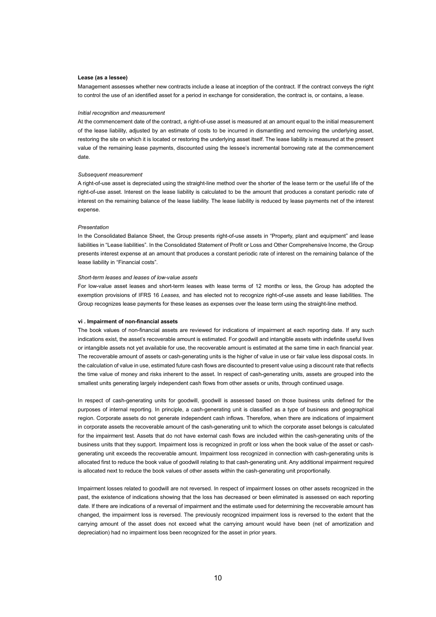## **Lease (as a lessee)**

Management assesses whether new contracts include a lease at inception of the contract. If the contract conveys the right to control the use of an identified asset for a period in exchange for consideration, the contract is, or contains, a lease.

#### *Initial recognition and measurement*

At the commencement date of the contract, a right-of-use asset is measured at an amount equal to the initial measurement of the lease liability, adjusted by an estimate of costs to be incurred in dismantling and removing the underlying asset, restoring the site on which it is located or restoring the underlying asset itself. The lease liability is measured at the present value of the remaining lease payments, discounted using the lessee's incremental borrowing rate at the commencement date.

#### *Subsequent measurement*

A right-of-use asset is depreciated using the straight-line method over the shorter of the lease term or the useful life of the right-of-use asset. Interest on the lease liability is calculated to be the amount that produces a constant periodic rate of interest on the remaining balance of the lease liability. The lease liability is reduced by lease payments net of the interest expense.

#### *Presentation*

In the Consolidated Balance Sheet, the Group presents right-of-use assets in "Property, plant and equipment" and lease liabilities in "Lease liabilities". In the Consolidated Statement of Profit or Loss and Other Comprehensive Income, the Group presents interest expense at an amount that produces a constant periodic rate of interest on the remaining balance of the lease liability in "Financial costs".

#### *Short-term leases and leases of low-value assets*

For low-value asset leases and short-term leases with lease terms of 12 months or less, the Group has adopted the exemption provisions of IFRS 16 *Leases,* and has elected not to recognize right-of-use assets and lease liabilities. The Group recognizes lease payments for these leases as expenses over the lease term using the straight-line method.

## **vi . Impairment of non-financial assets**

The book values of non-financial assets are reviewed for indications of impairment at each reporting date. If any such indications exist, the asset's recoverable amount is estimated. For goodwill and intangible assets with indefinite useful lives or intangible assets not yet available for use, the recoverable amount is estimated at the same time in each financial year. The recoverable amount of assets or cash-generating units is the higher of value in use or fair value less disposal costs. In the calculation of value in use, estimated future cash flows are discounted to present value using a discount rate that reflects the time value of money and risks inherent to the asset. In respect of cash-generating units, assets are grouped into the smallest units generating largely independent cash flows from other assets or units, through continued usage.

In respect of cash-generating units for goodwill, goodwill is assessed based on those business units defined for the purposes of internal reporting. In principle, a cash-generating unit is classified as a type of business and geographical region. Corporate assets do not generate independent cash inflows. Therefore, when there are indications of impairment in corporate assets the recoverable amount of the cash-generating unit to which the corporate asset belongs is calculated for the impairment test. Assets that do not have external cash flows are included within the cash-generating units of the business units that they support. Impairment loss is recognized in profit or loss when the book value of the asset or cashgenerating unit exceeds the recoverable amount. Impairment loss recognized in connection with cash-generating units is allocated first to reduce the book value of goodwill relating to that cash-generating unit. Any additional impairment required is allocated next to reduce the book values of other assets within the cash-generating unit proportionally.

Impairment losses related to goodwill are not reversed. In respect of impairment losses on other assets recognized in the past, the existence of indications showing that the loss has decreased or been eliminated is assessed on each reporting date. If there are indications of a reversal of impairment and the estimate used for determining the recoverable amount has changed, the impairment loss is reversed. The previously recognized impairment loss is reversed to the extent that the carrying amount of the asset does not exceed what the carrying amount would have been (net of amortization and depreciation) had no impairment loss been recognized for the asset in prior years.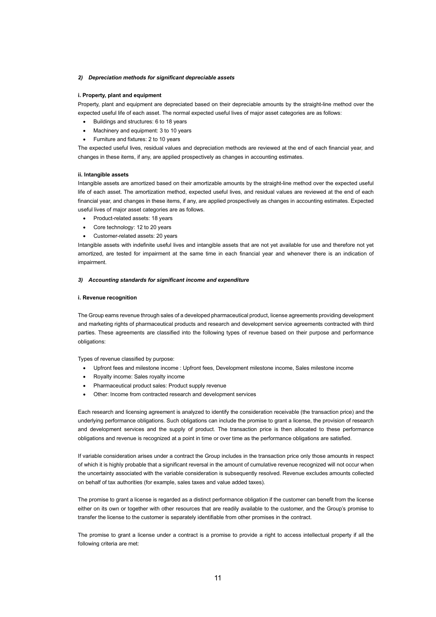## *2) Depreciation methods for significant depreciable assets*

#### **i. Property, plant and equipment**

Property, plant and equipment are depreciated based on their depreciable amounts by the straight-line method over the expected useful life of each asset. The normal expected useful lives of major asset categories are as follows:

- Buildings and structures: 6 to 18 years
- Machinery and equipment: 3 to 10 years
- Furniture and fixtures: 2 to 10 years

The expected useful lives, residual values and depreciation methods are reviewed at the end of each financial year, and changes in these items, if any, are applied prospectively as changes in accounting estimates.

## **ii. Intangible assets**

Intangible assets are amortized based on their amortizable amounts by the straight-line method over the expected useful life of each asset. The amortization method, expected useful lives, and residual values are reviewed at the end of each financial year, and changes in these items, if any, are applied prospectively as changes in accounting estimates. Expected useful lives of major asset categories are as follows.

- Product-related assets: 18 years
- Core technology: 12 to 20 years
- Customer-related assets: 20 years

Intangible assets with indefinite useful lives and intangible assets that are not yet available for use and therefore not yet amortized, are tested for impairment at the same time in each financial year and whenever there is an indication of impairment.

## *3) Accounting standards for significant income and expenditure*

#### **i. Revenue recognition**

The Group earns revenue through sales of a developed pharmaceutical product, license agreements providing development and marketing rights of pharmaceutical products and research and development service agreements contracted with third parties. These agreements are classified into the following types of revenue based on their purpose and performance obligations:

Types of revenue classified by purpose:

- Upfront fees and milestone income : Upfront fees, Development milestone income, Sales milestone income
- Royalty income: Sales royalty income
- Pharmaceutical product sales: Product supply revenue
- Other: Income from contracted research and development services

Each research and licensing agreement is analyzed to identify the consideration receivable (the transaction price) and the underlying performance obligations. Such obligations can include the promise to grant a license, the provision of research and development services and the supply of product. The transaction price is then allocated to these performance obligations and revenue is recognized at a point in time or over time as the performance obligations are satisfied.

If variable consideration arises under a contract the Group includes in the transaction price only those amounts in respect of which it is highly probable that a significant reversal in the amount of cumulative revenue recognized will not occur when the uncertainty associated with the variable consideration is subsequently resolved. Revenue excludes amounts collected on behalf of tax authorities (for example, sales taxes and value added taxes).

The promise to grant a license is regarded as a distinct performance obligation if the customer can benefit from the license either on its own or together with other resources that are readily available to the customer, and the Group's promise to transfer the license to the customer is separately identifiable from other promises in the contract.

The promise to grant a license under a contract is a promise to provide a right to access intellectual property if all the following criteria are met: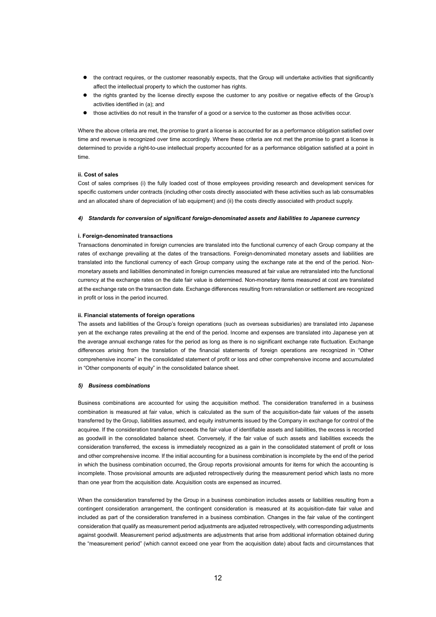- the contract requires, or the customer reasonably expects, that the Group will undertake activities that significantly affect the intellectual property to which the customer has rights.
- the rights granted by the license directly expose the customer to any positive or negative effects of the Group's activities identified in (a); and
- those activities do not result in the transfer of a good or a service to the customer as those activities occur.

Where the above criteria are met, the promise to grant a license is accounted for as a performance obligation satisfied over time and revenue is recognized over time accordingly. Where these criteria are not met the promise to grant a license is determined to provide a right-to-use intellectual property accounted for as a performance obligation satisfied at a point in time.

## **ii. Cost of sales**

Cost of sales comprises (i) the fully loaded cost of those employees providing research and development services for specific customers under contracts (including other costs directly associated with these activities such as lab consumables and an allocated share of depreciation of lab equipment) and (ii) the costs directly associated with product supply.

### *4) Standards for conversion of significant foreign-denominated assets and liabilities to Japanese currency*

## **i. Foreign-denominated transactions**

Transactions denominated in foreign currencies are translated into the functional currency of each Group company at the rates of exchange prevailing at the dates of the transactions. Foreign-denominated monetary assets and liabilities are translated into the functional currency of each Group company using the exchange rate at the end of the period. Nonmonetary assets and liabilities denominated in foreign currencies measured at fair value are retranslated into the functional currency at the exchange rates on the date fair value is determined. Non-monetary items measured at cost are translated at the exchange rate on the transaction date. Exchange differences resulting from retranslation or settlement are recognized in profit or loss in the period incurred.

## **ii. Financial statements of foreign operations**

The assets and liabilities of the Group's foreign operations (such as overseas subsidiaries) are translated into Japanese yen at the exchange rates prevailing at the end of the period. Income and expenses are translated into Japanese yen at the average annual exchange rates for the period as long as there is no significant exchange rate fluctuation. Exchange differences arising from the translation of the financial statements of foreign operations are recognized in "Other comprehensive income" in the consolidated statement of profit or loss and other comprehensive income and accumulated in "Other components of equity" in the consolidated balance sheet.

## *5) Business combinations*

Business combinations are accounted for using the acquisition method. The consideration transferred in a business combination is measured at fair value, which is calculated as the sum of the acquisition-date fair values of the assets transferred by the Group, liabilities assumed, and equity instruments issued by the Company in exchange for control of the acquiree. If the consideration transferred exceeds the fair value of identifiable assets and liabilities, the excess is recorded as goodwill in the consolidated balance sheet. Conversely, if the fair value of such assets and liabilities exceeds the consideration transferred, the excess is immediately recognized as a gain in the consolidated statement of profit or loss and other comprehensive income. If the initial accounting for a business combination is incomplete by the end of the period in which the business combination occurred, the Group reports provisional amounts for items for which the accounting is incomplete. Those provisional amounts are adjusted retrospectively during the measurement period which lasts no more than one year from the acquisition date. Acquisition costs are expensed as incurred.

When the consideration transferred by the Group in a business combination includes assets or liabilities resulting from a contingent consideration arrangement, the contingent consideration is measured at its acquisition-date fair value and included as part of the consideration transferred in a business combination. Changes in the fair value of the contingent consideration that qualify as measurement period adjustments are adjusted retrospectively, with corresponding adjustments against goodwill. Measurement period adjustments are adjustments that arise from additional information obtained during the "measurement period" (which cannot exceed one year from the acquisition date) about facts and circumstances that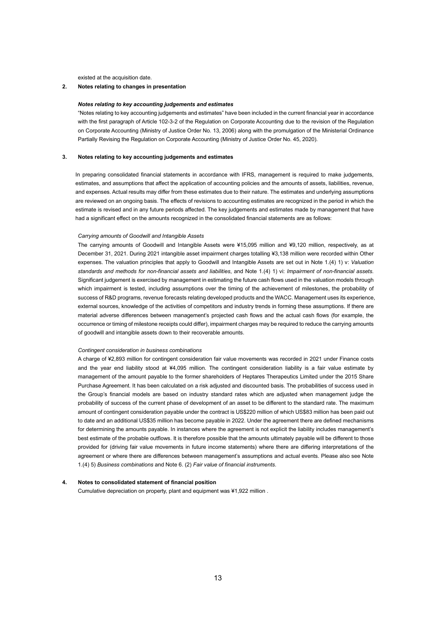existed at the acquisition date.

## **2. Notes relating to changes in presentation**

#### *Notes relating to key accounting judgements and estimates*

"Notes relating to key accounting judgements and estimates" have been included in the current financial year in accordance with the first paragraph of Article 102-3-2 of the Regulation on Corporate Accounting due to the revision of the Regulation on Corporate Accounting (Ministry of Justice Order No. 13, 2006) along with the promulgation of the Ministerial Ordinance Partially Revising the Regulation on Corporate Accounting (Ministry of Justice Order No. 45, 2020).

## **3. Notes relating to key accounting judgements and estimates**

In preparing consolidated financial statements in accordance with IFRS, management is required to make judgements, estimates, and assumptions that affect the application of accounting policies and the amounts of assets, liabilities, revenue, and expenses. Actual results may differ from these estimates due to their nature. The estimates and underlying assumptions are reviewed on an ongoing basis. The effects of revisions to accounting estimates are recognized in the period in which the estimate is revised and in any future periods affected. The key judgements and estimates made by management that have had a significant effect on the amounts recognized in the consolidated financial statements are as follows:

## *Carrying amounts of Goodwill and Intangible Assets*

The carrying amounts of Goodwill and Intangible Assets were ¥15,095 million and ¥9,120 million, respectively, as at December 31, 2021. During 2021 intangible asset impairment charges totalling ¥3,138 million were recorded within Other expenses. The valuation principles that apply to Goodwill and Intangible Assets are set out in Note 1.(4) 1) v: *Valuation standards and methods for non-financial assets and liabilities*, and Note 1.(4) 1) vi: *Impairment of non-financial assets*. Significant judgement is exercised by management in estimating the future cash flows used in the valuation models through which impairment is tested, including assumptions over the timing of the achievement of milestones, the probability of success of R&D programs, revenue forecasts relating developed products and the WACC. Management uses its experience, external sources, knowledge of the activities of competitors and industry trends in forming these assumptions. If there are material adverse differences between management's projected cash flows and the actual cash flows (for example, the occurrence or timing of milestone receipts could differ), impairment charges may be required to reduce the carrying amounts of goodwill and intangible assets down to their recoverable amounts.

#### *Contingent consideration in business combinations*

A charge of ¥2,893 million for contingent consideration fair value movements was recorded in 2021 under Finance costs and the year end liability stood at ¥4,095 million. The contingent consideration liability is a fair value estimate by management of the amount payable to the former shareholders of Heptares Therapeutics Limited under the 2015 Share Purchase Agreement. It has been calculated on a risk adjusted and discounted basis. The probabilities of success used in the Group's financial models are based on industry standard rates which are adjusted when management judge the probability of success of the current phase of development of an asset to be different to the standard rate. The maximum amount of contingent consideration payable under the contract is US\$220 million of which US\$83 million has been paid out to date and an additional US\$35 million has become payable in 2022. Under the agreement there are defined mechanisms for determining the amounts payable. In instances where the agreement is not explicit the liability includes management's best estimate of the probable outflows. It is therefore possible that the amounts ultimately payable will be different to those provided for (driving fair value movements in future income statements) where there are differing interpretations of the agreement or where there are differences between management's assumptions and actual events. Please also see Note 1.(4) 5) *Business combinations* and Note 6. (2) *Fair value of financial instruments*.

#### **4. Notes to consolidated statement of financial position**

Cumulative depreciation on property, plant and equipment was ¥1,922 million .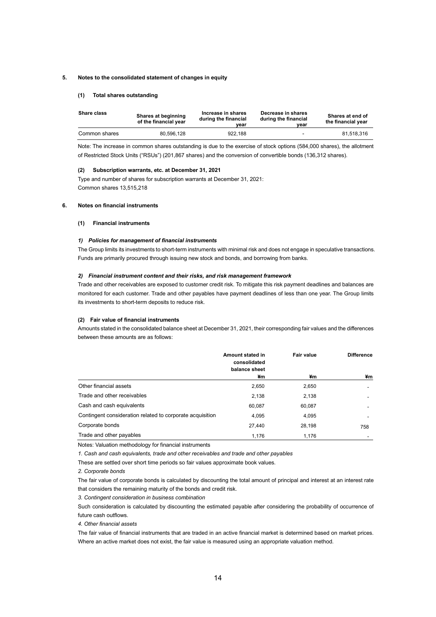### **5. Notes to the consolidated statement of changes in equity**

## **(1) Total shares outstanding**

| <b>Share class</b> | Shares at beginning<br>of the financial year | Increase in shares<br>during the financial<br>vear | Decrease in shares<br>during the financial<br>vear | Shares at end of<br>the financial year |
|--------------------|----------------------------------------------|----------------------------------------------------|----------------------------------------------------|----------------------------------------|
| Common shares      | 80.596.128                                   | 922.188                                            | $\sim$                                             | 81.518.316                             |

Note: The increase in common shares outstanding is due to the exercise of stock options (584,000 shares), the allotment of Restricted Stock Units ("RSUs") (201,867 shares) and the conversion of convertible bonds (136,312 shares).

### **(2) Subscription warrants, etc. at December 31, 2021**

Type and number of shares for subscription warrants at December 31, 2021: Common shares 13,515,218

## **6. Notes on financial instruments**

## **(1) Financial instruments**

## *1) Policies for management of financial instruments*

The Group limits its investments to short-term instruments with minimal risk and does not engage in speculative transactions. Funds are primarily procured through issuing new stock and bonds, and borrowing from banks.

## *2) Financial instrument content and their risks, and risk management framework*

Trade and other receivables are exposed to customer credit risk. To mitigate this risk payment deadlines and balances are monitored for each customer. Trade and other payables have payment deadlines of less than one year. The Group limits its investments to short-term deposits to reduce risk.

## **(2) Fair value of financial instruments**

Amounts stated in the consolidated balance sheet at December 31, 2021, their corresponding fair values and the differences between these amounts are as follows:

|                                                           | Amount stated in<br>consolidated | Fair value | <b>Difference</b>        |
|-----------------------------------------------------------|----------------------------------|------------|--------------------------|
|                                                           | balance sheet<br>¥m              | ¥m         | ¥m                       |
| Other financial assets                                    | 2,650                            | 2,650      | $\overline{\phantom{a}}$ |
| Trade and other receivables                               | 2.138                            | 2,138      | $\overline{\phantom{0}}$ |
| Cash and cash equivalents                                 | 60.087                           | 60.087     |                          |
| Contingent consideration related to corporate acquisition | 4.095                            | 4.095      |                          |
| Corporate bonds                                           | 27.440                           | 28,198     | 758                      |
| Trade and other payables                                  | 1.176                            | 1.176      |                          |

Notes: Valuation methodology for financial instruments

*1. Cash and cash equivalents, trade and other receivables and trade and other payables*

These are settled over short time periods so fair values approximate book values.

*2. Corporate bonds*

The fair value of corporate bonds is calculated by discounting the total amount of principal and interest at an interest rate that considers the remaining maturity of the bonds and credit risk.

*3. Contingent consideration in business combination*

Such consideration is calculated by discounting the estimated payable after considering the probability of occurrence of future cash outflows.

*4. Other financial assets* 

The fair value of financial instruments that are traded in an active financial market is determined based on market prices. Where an active market does not exist, the fair value is measured using an appropriate valuation method.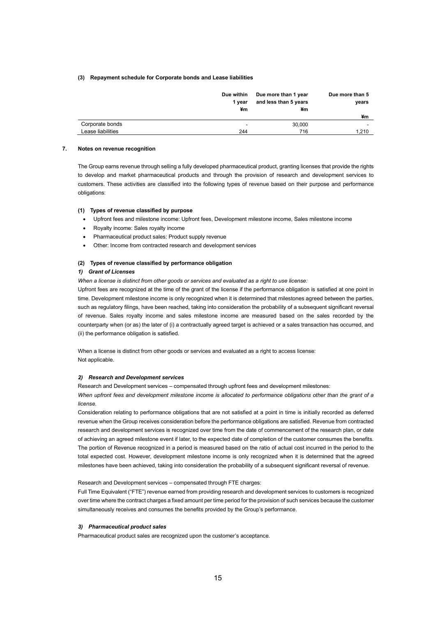## **(3) Repayment schedule for Corporate bonds and Lease liabilities**

|                   | Due within<br>1 year<br>¥m | Due more than 1 year<br>and less than 5 years<br>¥m | Due more than 5<br>years |
|-------------------|----------------------------|-----------------------------------------------------|--------------------------|
|                   |                            |                                                     | ¥m                       |
| Corporate bonds   | ۰                          | 30,000                                              | $\overline{\phantom{a}}$ |
| Lease liabilities | 244                        | 716                                                 | 1.210                    |

## **7. Notes on revenue recognition**

The Group earns revenue through selling a fully developed pharmaceutical product, granting licenses that provide the rights to develop and market pharmaceutical products and through the provision of research and development services to customers. These activities are classified into the following types of revenue based on their purpose and performance obligations:

#### **(1) Types of revenue classified by purpose**

- Upfront fees and milestone income: Upfront fees, Development milestone income, Sales milestone income
- Royalty income: Sales royalty income
- Pharmaceutical product sales: Product supply revenue
- Other: Income from contracted research and development services

## **(2) Types of revenue classified by performance obligation**

## *1) Grant of Licenses*

*When a license is distinct from other goods or services and evaluated as a right to use license:*

Upfront fees are recognized at the time of the grant of the license if the performance obligation is satisfied at one point in time. Development milestone income is only recognized when it is determined that milestones agreed between the parties, such as regulatory filings, have been reached, taking into consideration the probability of a subsequent significant reversal of revenue. Sales royalty income and sales milestone income are measured based on the sales recorded by the counterparty when (or as) the later of (i) a contractually agreed target is achieved or a sales transaction has occurred, and (ii) the performance obligation is satisfied.

When a license is distinct from other goods or services and evaluated as a right to access license: Not applicable.

## *2) Research and Development services*

Research and Development services – compensated through upfront fees and development milestones:

*When upfront fees and development milestone income is allocated to performance obligations other than the grant of a license.*

Consideration relating to performance obligations that are not satisfied at a point in time is initially recorded as deferred revenue when the Group receives consideration before the performance obligations are satisfied. Revenue from contracted research and development services is recognized over time from the date of commencement of the research plan, or date of achieving an agreed milestone event if later, to the expected date of completion of the customer consumes the benefits. The portion of Revenue recognized in a period is measured based on the ratio of actual cost incurred in the period to the total expected cost. However, development milestone income is only recognized when it is determined that the agreed milestones have been achieved, taking into consideration the probability of a subsequent significant reversal of revenue.

Research and Development services – compensated through FTE charges:

Full Time Equivalent ("FTE") revenue earned from providing research and development services to customers is recognized over time where the contract charges a fixed amount per time period for the provision of such services because the customer simultaneously receives and consumes the benefits provided by the Group's performance.

## *3) Pharmaceutical product sales*

Pharmaceutical product sales are recognized upon the customer's acceptance.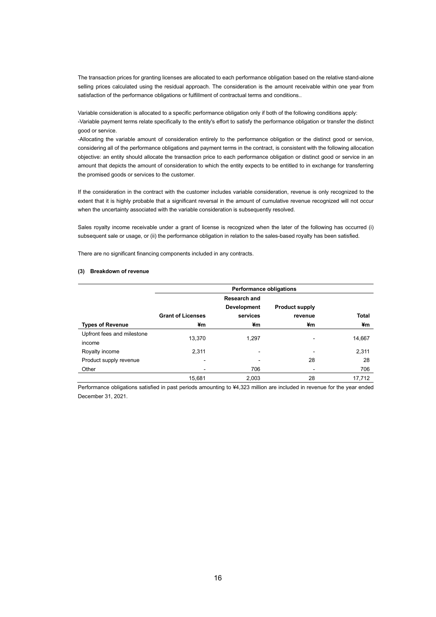The transaction prices for granting licenses are allocated to each performance obligation based on the relative stand-alone selling prices calculated using the residual approach. The consideration is the amount receivable within one year from satisfaction of the performance obligations or fulfillment of contractual terms and conditions..

Variable consideration is allocated to a specific performance obligation only if both of the following conditions apply: -Variable payment terms relate specifically to the entity's effort to satisfy the performance obligation or transfer the distinct good or service.

-Allocating the variable amount of consideration entirely to the performance obligation or the distinct good or service, considering all of the performance obligations and payment terms in the contract, is consistent with the following allocation objective: an entity should allocate the transaction price to each performance obligation or distinct good or service in an amount that depicts the amount of consideration to which the entity expects to be entitled to in exchange for transferring the promised goods or services to the customer.

If the consideration in the contract with the customer includes variable consideration, revenue is only recognized to the extent that it is highly probable that a significant reversal in the amount of cumulative revenue recognized will not occur when the uncertainty associated with the variable consideration is subsequently resolved.

Sales royalty income receivable under a grant of license is recognized when the later of the following has occurred (i) subsequent sale or usage, or (ii) the performance obligation in relation to the sales-based royalty has been satisfied.

There are no significant financing components included in any contracts.

### **(3) Breakdown of revenue**

|                            |                          | <b>Performance obligations</b> |                       |        |  |  |
|----------------------------|--------------------------|--------------------------------|-----------------------|--------|--|--|
|                            |                          | <b>Research and</b>            |                       |        |  |  |
|                            |                          | <b>Development</b>             | <b>Product supply</b> |        |  |  |
|                            | <b>Grant of Licenses</b> | services                       | revenue               | Total  |  |  |
| <b>Types of Revenue</b>    | ¥m                       | ¥m                             | ¥m                    | ¥m     |  |  |
| Upfront fees and milestone |                          | 1.297                          |                       |        |  |  |
| income                     | 13.370                   |                                | ۰                     | 14,667 |  |  |
| Royalty income             | 2.311                    |                                |                       | 2,311  |  |  |
| Product supply revenue     |                          |                                | 28                    | 28     |  |  |
| Other                      | -                        | 706                            |                       | 706    |  |  |
|                            | 15,681                   | 2.003                          | 28                    | 17.712 |  |  |

Performance obligations satisfied in past periods amounting to ¥4,323 million are included in revenue for the year ended December 31, 2021.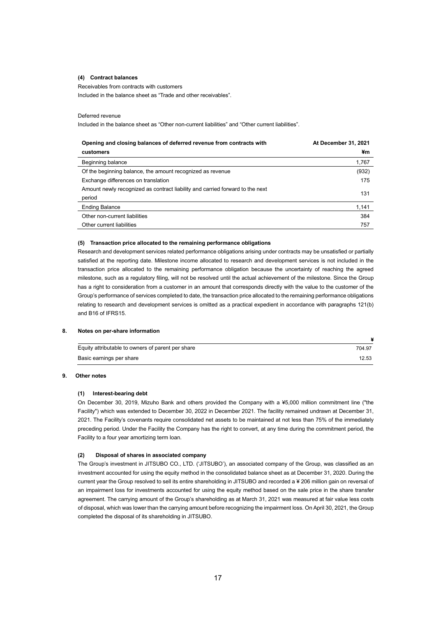## **(4) Contract balances**

Receivables from contracts with customers

Included in the balance sheet as "Trade and other receivables".

## Deferred revenue

Included in the balance sheet as "Other non-current liabilities" and "Other current liabilities".

| Opening and closing balances of deferred revenue from contracts with          | At December 31, 2021 |
|-------------------------------------------------------------------------------|----------------------|
| customers                                                                     | ¥m                   |
| Beginning balance                                                             | 1,767                |
| Of the beginning balance, the amount recognized as revenue                    | (932)                |
| Exchange differences on translation                                           | 175                  |
| Amount newly recognized as contract liability and carried forward to the next | 131                  |
| period                                                                        |                      |
| <b>Ending Balance</b>                                                         | 1,141                |
| Other non-current liabilities                                                 | 384                  |
| Other current liabilities                                                     | 757                  |

## **(5) Transaction price allocated to the remaining performance obligations**

Research and development services related performance obligations arising under contracts may be unsatisfied or partially satisfied at the reporting date. Milestone income allocated to research and development services is not included in the transaction price allocated to the remaining performance obligation because the uncertainty of reaching the agreed milestone, such as a regulatory filing, will not be resolved until the actual achievement of the milestone. Since the Group has a right to consideration from a customer in an amount that corresponds directly with the value to the customer of the Group's performance of services completed to date, the transaction price allocated to the remaining performance obligations relating to research and development services is omitted as a practical expedient in accordance with paragraphs 121(b) and B16 of IFRS15.

## **8. Notes on per-share information**

| Equity attributable to owners of parent per share | 704.97 |
|---------------------------------------------------|--------|
| Basic earnings per share                          | 12.53  |

## **9. Other notes**

## **(1) Interest-bearing debt**

On December 30, 2019, Mizuho Bank and others provided the Company with a ¥5,000 million commitment line ("the Facility") which was extended to December 30, 2022 in December 2021. The facility remained undrawn at December 31, 2021. The Facility's covenants require consolidated net assets to be maintained at not less than 75% of the immediately preceding period. Under the Facility the Company has the right to convert, at any time during the commitment period, the Facility to a four year amortizing term loan.

## **(2) Disposal of shares in associated company**

The Group's investment in JITSUBO CO., LTD. ('JITSUBO'), an associated company of the Group, was classified as an investment accounted for using the equity method in the consolidated balance sheet as at December 31, 2020. During the current year the Group resolved to sell its entire shareholding in JITSUBO and recorded a ¥ 206 million gain on reversal of an impairment loss for investments accounted for using the equity method based on the sale price in the share transfer agreement. The carrying amount of the Group's shareholding as at March 31, 2021 was measured at fair value less costs of disposal, which was lower than the carrying amount before recognizing the impairment loss. On April 30, 2021, the Group completed the disposal of its shareholding in JITSUBO.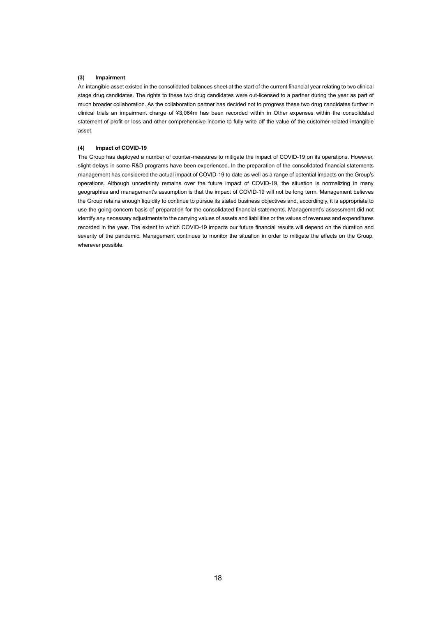## **(3) Impairment**

An intangible asset existed in the consolidated balances sheet at the start of the current financial year relating to two clinical stage drug candidates. The rights to these two drug candidates were out-licensed to a partner during the year as part of much broader collaboration. As the collaboration partner has decided not to progress these two drug candidates further in clinical trials an impairment charge of ¥3,064m has been recorded within in Other expenses within the consolidated statement of profit or loss and other comprehensive income to fully write off the value of the customer-related intangible asset.

## **(4) Impact of COVID-19**

The Group has deployed a number of counter-measures to mitigate the impact of COVID-19 on its operations. However, slight delays in some R&D programs have been experienced. In the preparation of the consolidated financial statements management has considered the actual impact of COVID-19 to date as well as a range of potential impacts on the Group's operations. Although uncertainty remains over the future impact of COVID-19, the situation is normalizing in many geographies and management's assumption is that the impact of COVID-19 will not be long term. Management believes the Group retains enough liquidity to continue to pursue its stated business objectives and, accordingly, it is appropriate to use the going-concern basis of preparation for the consolidated financial statements. Management's assessment did not identify any necessary adjustments to the carrying values of assets and liabilities or the values of revenues and expenditures recorded in the year. The extent to which COVID-19 impacts our future financial results will depend on the duration and severity of the pandemic. Management continues to monitor the situation in order to mitigate the effects on the Group, wherever possible.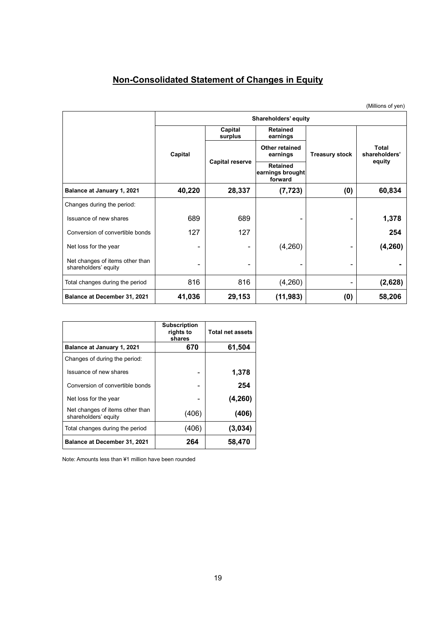# **Non-Consolidated Statement of Changes in Equity**

(Millions of yen)

|                                                         | Shareholders' equity |                        |                                                     |     |                        |  |
|---------------------------------------------------------|----------------------|------------------------|-----------------------------------------------------|-----|------------------------|--|
|                                                         |                      | Capital<br>surplus     | <b>Retained</b><br>earnings                         |     |                        |  |
|                                                         | Capital              |                        | Other retained<br><b>Treasury stock</b><br>earnings |     | Total<br>shareholders' |  |
|                                                         |                      | <b>Capital reserve</b> | <b>Retained</b><br>earnings brought<br>forward      |     | equity                 |  |
| Balance at January 1, 2021                              | 40,220               | 28,337                 | (7, 723)                                            | (0) | 60,834                 |  |
| Changes during the period:                              |                      |                        |                                                     |     |                        |  |
| Issuance of new shares                                  | 689                  | 689                    | -                                                   |     | 1,378                  |  |
| Conversion of convertible bonds                         | 127                  | 127                    |                                                     |     | 254                    |  |
| Net loss for the year                                   | ۰                    | -                      | (4,260)                                             |     | (4, 260)               |  |
| Net changes of items other than<br>shareholders' equity | ۰                    | ٠                      | -                                                   | -   |                        |  |
| Total changes during the period                         | 816                  | 816                    | (4,260)                                             | -   | (2,628)                |  |
| <b>Balance at December 31, 2021</b>                     | 41,036               | 29,153                 | (11, 983)                                           | (0) | 58,206                 |  |

|                                                         | <b>Subscription</b><br>rights to<br>shares | <b>Total net assets</b> |
|---------------------------------------------------------|--------------------------------------------|-------------------------|
| Balance at January 1, 2021                              | 670                                        | 61,504                  |
| Changes of during the period:                           |                                            |                         |
| Issuance of new shares                                  |                                            | 1,378                   |
| Conversion of convertible bonds                         |                                            | 254                     |
| Net loss for the year                                   |                                            | (4, 260)                |
| Net changes of items other than<br>shareholders' equity | (406)                                      | (406)                   |
| Total changes during the period                         | (406)                                      | (3,034)                 |
| <b>Balance at December 31, 2021</b>                     | 264                                        | 58,470                  |

Note: Amounts less than ¥1 million have been rounded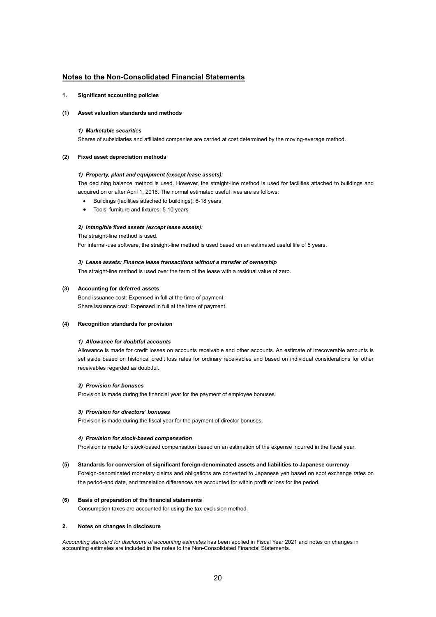## **Notes to the Non-Consolidated Financial Statements**

## **1. Significant accounting policies**

## **(1) Asset valuation standards and methods**

## *1) Marketable securities*

Shares of subsidiaries and affiliated companies are carried at cost determined by the moving-average method.

## **(2) Fixed asset depreciation methods**

## *1) Property, plant and equipment (except lease assets):*

The declining balance method is used. However, the straight-line method is used for facilities attached to buildings and acquired on or after April 1, 2016. The normal estimated useful lives are as follows:

- Buildings (facilities attached to buildings): 6-18 years
- Tools, furniture and fixtures: 5-10 years

## *2) Intangible fixed assets (except lease assets):*

The straight-line method is used.

For internal-use software, the straight-line method is used based on an estimated useful life of 5 years.

## *3) Lease assets: Finance lease transactions without a transfer of ownership*

The straight-line method is used over the term of the lease with a residual value of zero.

## **(3) Accounting for deferred assets**

Bond issuance cost: Expensed in full at the time of payment. Share issuance cost: Expensed in full at the time of payment.

## **(4) Recognition standards for provision**

## *1) Allowance for doubtful accounts*

Allowance is made for credit losses on accounts receivable and other accounts. An estimate of irrecoverable amounts is set aside based on historical credit loss rates for ordinary receivables and based on individual considerations for other receivables regarded as doubtful.

## *2) Provision for bonuses*

Provision is made during the financial year for the payment of employee bonuses.

## *3) Provision for directors' bonuses*

Provision is made during the fiscal year for the payment of director bonuses.

## *4) Provision for stock-based compensation*

Provision is made for stock-based compensation based on an estimation of the expense incurred in the fiscal year.

## **(5) Standards for conversion of significant foreign-denominated assets and liabilities to Japanese currency**

Foreign-denominated monetary claims and obligations are converted to Japanese yen based on spot exchange rates on the period-end date, and translation differences are accounted for within profit or loss for the period.

## **(6) Basis of preparation of the financial statements**

Consumption taxes are accounted for using the tax-exclusion method.

## **2. Notes on changes in disclosure**

*Accounting standard for disclosure of accounting estimates* has been applied in Fiscal Year 2021 and notes on changes in accounting estimates are included in the notes to the Non-Consolidated Financial Statements.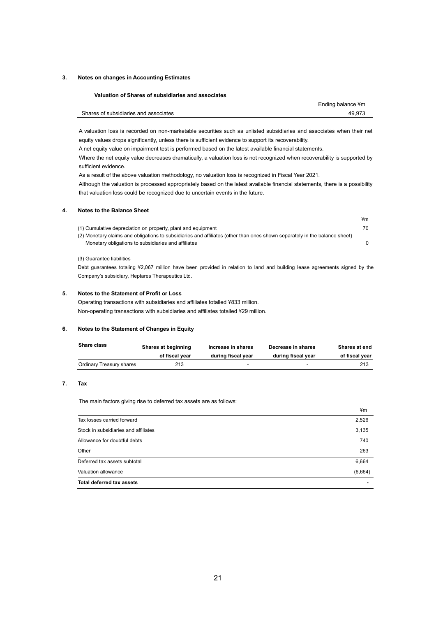## **3. Notes on changes in Accounting Estimates**

## **Valuation of Shares of subsidiaries and associates**

|                                       | Ending balance ¥m |
|---------------------------------------|-------------------|
| Shares of subsidiaries and associates | 49.97.            |

A valuation loss is recorded on non-marketable securities such as unlisted subsidiaries and associates when their net equity values drops significantly, unless there is sufficient evidence to support its recoverability.

A net equity value on impairment test is performed based on the latest available financial statements.

 Where the net equity value decreases dramatically, a valuation loss is not recognized when recoverability is supported by sufficient evidence.

As a result of the above valuation methodology, no valuation loss is recognized in Fiscal Year 2021.

 Although the valuation is processed appropriately based on the latest available financial statements, there is a possibility that valuation loss could be recognized due to uncertain events in the future.

## **4. Notes to the Balance Sheet**

|                                                                                                                            | ¥m |
|----------------------------------------------------------------------------------------------------------------------------|----|
| (1) Cumulative depreciation on property, plant and equipment                                                               | 70 |
| (2) Monetary claims and obligations to subsidiaries and affiliates (other than ones shown separately in the balance sheet) |    |
| Monetary obligations to subsidiaries and affiliates                                                                        |    |
|                                                                                                                            |    |
|                                                                                                                            |    |

## (3) Guarantee liabilities

Debt guarantees totaling ¥2,067 million have been provided in relation to land and building lease agreements signed by the Company's subsidiary, Heptares Therapeutics Ltd.

## **5. Notes to the Statement of Profit or Loss**

Operating transactions with subsidiaries and affiliates totalled ¥833 million. Non-operating transactions with subsidiaries and affiliates totalled ¥29 million.

## **6. Notes to the Statement of Changes in Equity**

| <b>Share class</b>       | Shares at beginning |                    | Decrease in shares | Shares at end  |
|--------------------------|---------------------|--------------------|--------------------|----------------|
|                          | of fiscal year      | during fiscal year | during fiscal vear | of fiscal year |
| Ordinary Treasury shares | 213                 |                    | -                  | 213            |

## **7. Tax**

The main factors giving rise to deferred tax assets are as follows:

|                                      | ¥m      |
|--------------------------------------|---------|
| Tax losses carried forward           | 2,526   |
| Stock in subsidiaries and affiliates | 3,135   |
| Allowance for doubtful debts         | 740     |
| Other                                | 263     |
| Deferred tax assets subtotal         | 6,664   |
| Valuation allowance                  | (6,664) |
| <b>Total deferred tax assets</b>     | ۰       |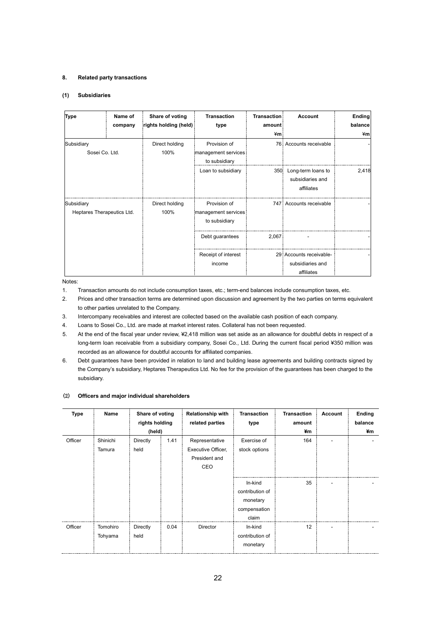## **8. Related party transactions**

## **(1) Subsidiaries**

| <b>Type</b>                | Name of | Share of voting       | <b>Transaction</b>  | <b>Transaction</b> | <b>Account</b>          | <b>Ending</b> |
|----------------------------|---------|-----------------------|---------------------|--------------------|-------------------------|---------------|
|                            | company | rights holding (held) | type                | amount             |                         | balance       |
|                            |         |                       |                     | ¥m                 |                         | ¥m            |
| Subsidiary                 |         | Direct holding        | Provision of        | 76.                | Accounts receivable     |               |
| Sosei Co. Ltd.             |         | 100%                  | management services |                    |                         |               |
|                            |         |                       | to subsidiary       |                    |                         |               |
|                            |         |                       | Loan to subsidiary  | 350                | Long-term loans to      | 2,418         |
|                            |         |                       |                     |                    | subsidiaries and        |               |
|                            |         |                       |                     |                    | affiliates              |               |
| Subsidiary                 |         | Direct holding        | Provision of        |                    | 747 Accounts receivable |               |
| Heptares Therapeutics Ltd. |         | 100%                  | management services |                    |                         |               |
|                            |         |                       | to subsidiary       |                    |                         |               |
|                            |         |                       | Debt guarantees     | 2,067              |                         |               |
|                            |         |                       | Receipt of interest |                    | 29 Accounts receivable- |               |
|                            |         |                       | income              |                    | subsidiaries and        |               |
|                            |         |                       |                     |                    | affiliates              |               |

Notes:

- 1. Transaction amounts do not include consumption taxes, etc.; term-end balances include consumption taxes, etc.
- 2. Prices and other transaction terms are determined upon discussion and agreement by the two parties on terms equivalent to other parties unrelated to the Company.
- 3. Intercompany receivables and interest are collected based on the available cash position of each company.
- 4. Loans to Sosei Co., Ltd. are made at market interest rates. Collateral has not been requested.
- 5. At the end of the fiscal year under review, ¥2,418 million was set aside as an allowance for doubtful debts in respect of a long-term loan receivable from a subsidiary company, Sosei Co., Ltd. During the current fiscal period ¥350 million was recorded as an allowance for doubtful accounts for affiliated companies.
- 6. Debt guarantees have been provided in relation to land and building lease agreements and building contracts signed by the Company's subsidiary, Heptares Therapeutics Ltd. No fee for the provision of the guarantees has been charged to the subsidiary.

## (2) **Officers and major individual shareholders**

| <b>Type</b> | Name                | Share of voting<br>rights holding<br>(held) |      | <b>Relationship with</b><br>related parties                  | <b>Transaction</b><br>type                                      | <b>Transaction</b><br>amount<br>¥m | Account | Ending<br>balance<br>¥m |
|-------------|---------------------|---------------------------------------------|------|--------------------------------------------------------------|-----------------------------------------------------------------|------------------------------------|---------|-------------------------|
| Officer     | Shinichi<br>Tamura  | Directly<br>held                            | 1.41 | Representative<br>Executive Officer,<br>President and<br>CEO | Exercise of<br>stock options                                    | 164                                |         |                         |
|             |                     |                                             |      |                                                              | In-kind<br>contribution of<br>monetary<br>compensation<br>claim | 35                                 |         |                         |
| Officer     | Tomohiro<br>Tohyama | Directly<br>held                            | 0.04 | <b>Director</b>                                              | In-kind<br>contribution of<br>monetary                          | 12                                 |         |                         |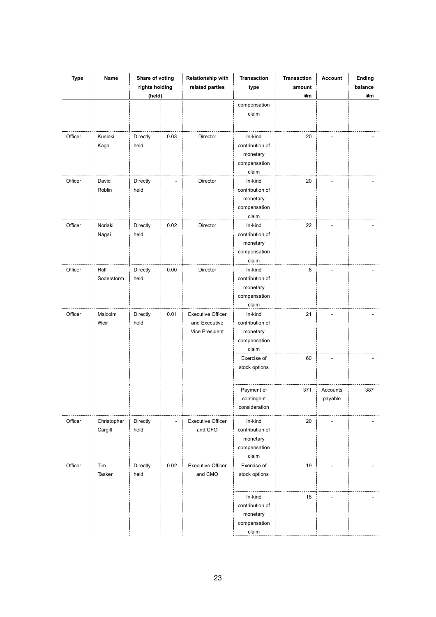| <b>Type</b> | Name                   | Share of voting<br>rights holding |      | Relationship with<br>related parties                        | <b>Transaction</b><br>type                                               | <b>Transaction</b><br>amount | Account             | Ending<br>balance |
|-------------|------------------------|-----------------------------------|------|-------------------------------------------------------------|--------------------------------------------------------------------------|------------------------------|---------------------|-------------------|
|             |                        | (held)                            |      |                                                             | compensation<br>claim                                                    | ¥m                           |                     | ¥m                |
| Officer     | Kuniaki<br>Kaga        | Directly<br>held                  | 0.03 | Director                                                    | In-kind<br>contribution of<br>monetary<br>compensation                   | 20                           |                     |                   |
| Officer     | David<br>Roblin        | Directly<br>held                  |      | Director                                                    | claim<br>In-kind<br>contribution of<br>monetary<br>compensation<br>claim | 20                           |                     |                   |
| Officer     | Noriaki<br>Nagai       | Directly<br>held                  | 0.02 | Director                                                    | In-kind<br>contribution of<br>monetary<br>compensation<br>claim          | 22                           |                     |                   |
| Officer     | Rolf<br>Soderstorm     | Directly<br>held                  | 0.00 | Director                                                    | In-kind<br>contribution of<br>monetary<br>compensation<br>claim          | 8                            |                     |                   |
| Officer     | Malcolm<br>Weir        | Directly<br>held                  | 0.01 | <b>Executive Officer</b><br>and Executive<br>Vice President | In-kind<br>contribution of<br>monetary<br>compensation<br>claim          | 21                           |                     |                   |
|             |                        |                                   |      |                                                             | Exercise of<br>stock options                                             | 60                           |                     |                   |
|             |                        |                                   |      |                                                             | Payment of<br>contingent<br>consideration                                | 371                          | Accounts<br>payable | 387               |
| Officer     | Christopher<br>Cargill | Directly<br>held                  |      | <b>Executive Officer</b><br>and CFO                         | In-kind<br>contribution of<br>monetary<br>compensation<br>claim          | 20                           |                     |                   |
| Officer     | Tim<br>Tasker          | Directly<br>held                  | 0.02 | <b>Executive Officer</b><br>and CMO                         | Exercise of<br>stock options                                             | 19                           |                     |                   |
|             |                        |                                   |      |                                                             | In-kind<br>contribution of<br>monetary<br>compensation<br>claim          | 18                           |                     |                   |